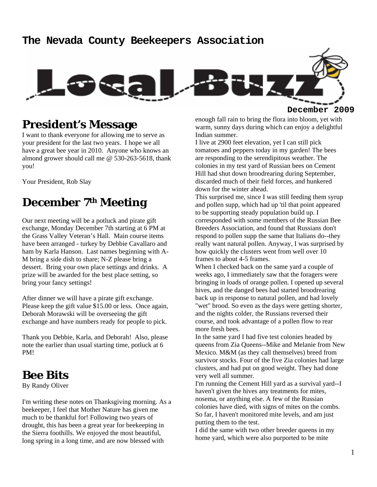#### **The Nevada County Beekeepers Association**



## **President's Message**

I want to thank everyone for allowing me to serve as your president for the last two years. I hope we all have a great bee year in 2010. Anyone who knows an almond grower should call me @ 530-263-5618, thank you!

Your President, Rob Slay

#### **December 7th Meeting**

Our next meeting will be a potluck and pirate gift exchange, Monday December 7th starting at 6 PM at the Grass Valley Veteran's Hall. Main course items have been arranged - turkey by Debbie Cavallaro and ham by Karla Hanson. Last names beginning with A-M bring a side dish to share; N-Z please bring a dessert. Bring your own place settings and drinks. A prize will be awarded for the best place setting, so bring your fancy settings!

After dinner we will have a pirate gift exchange. Please keep the gift value \$15.00 or less. Once again, Deborah Morawski will be overseeing the gift exchange and have numbers ready for people to pick.

Thank you Debbie, Karla, and Deborah! Also, please note the earlier than usual starting time, potluck at 6 PM!

#### **Bee Bits**

By Randy Oliver

I'm writing these notes on Thanksgiving morning. As a beekeeper, I feel that Mother Nature has given me much to be thankful for! Following two years of drought, this has been a great year for beekeeping in the Sierra foothills. We enjoyed the most beautiful, long spring in a long time, and are now blessed with

enough fall rain to bring the flora into bloom, yet with warm, sunny days during which can enjoy a delightful Indian summer.

I live at 2900 feet elevation, yet I can still pick tomatoes and peppers today in my garden! The bees are responding to the serendipitous weather. The colonies in my test yard of Russian bees on Cement Hill had shut down broodrearing during September, discarded much of their field forces, and hunkered down for the winter ahead.

This surprised me, since I was still feeding them syrup and pollen supp, which had up 'til that point appeared to be supporting steady population build up. I corresponded with some members of the Russian Bee Breeders Association, and found that Russians don't respond to pollen supp the same that Italians do--they really want natural pollen. Anyway, I was surprised by how quickly the clusters went from well over 10 frames to about 4-5 frames.

When I checked back on the same yard a couple of weeks ago, I immediately saw that the foragers were bringing in loads of orange pollen. I opened up several hives, and the danged bees had started broodrearing back up in response to natural pollen, and had lovely "wet" brood. So even as the days were getting shorter, and the nights colder, the Russians reversed their course, and took advantage of a pollen flow to rear more fresh bees.

In the same yard I had five test colonies headed by queens from Zia Queens--Mike and Melanie from New Mexico. M&M (as they call themselves) breed from survivor stocks. Four of the five Zia colonies had large clusters, and had put on good weight. They had done very well all summer.

I'm running the Cement Hill yard as a survival yard--I haven't given the hives any treatments for mites, nosema, or anything else. A few of the Russian colonies have died, with signs of mites on the combs. So far, I haven't monitored mite levels, and am just putting them to the test.

I did the same with two other breeder queens in my home yard, which were also purported to be mite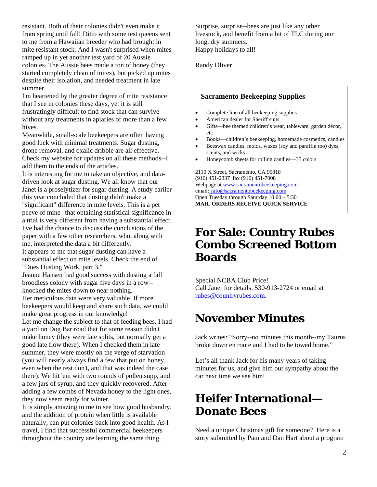resistant. Both of their colonies didn't even make it from spring until fall! Ditto with some test queens sent to me from a Hawaiian breeder who had brought in mite resistant stock. And I wasn't surprised when mites ramped up in yet another test yard of 20 Aussie colonies. The Aussie bees made a ton of honey (they started completely clean of mites), but picked up mites despite their isolation, and needed treatment in late summer.

I'm heartened by the greater degree of mite resistance that I see in colonies these days, yet it is still frustratingly difficult to find stock that can survive without any treatments in apiaries of more than a few hives.

Meanwhile, small-scale beekeepers are often having good luck with minimal treatments. Sugar dusting, drone removal, and oxalic dribble are all effective. Check my website for updates on all these methods--I add them to the ends of the articles.

It is interesting for me to take an objective, and datadriven look at sugar dusting. We all know that our Janet is a proselytizer for sugar dusting. A study earlier this year concluded that dusting didn't make a "significant" difference in mite levels. This is a pet peeve of mine--that obtaining statistical significance in a trial is very different from having a substantial effect. I've had the chance to discuss the conclusions of the paper with a few other researchers, who, along with me, interpreted the data a bit differently.

It appears to me that sugar dusting can have a substantial effect on mite levels. Check the end of "Does Dusting Work, part 3."

Jeanne Hansen had good success with dusting a fall broodless colony with sugar five days in a row- knocked the mites down to near nothing. Her meticulous data were very valuable. If more beekeepers would keep and share such data, we could

make great progress in our knowledge! Let me change the subject to that of feeding bees. I had a yard on Dog Bar road that for some reason didn't make honey (they were late splits, but normally get a good late flow there). When I checked them in late summer, they were mostly on the verge of starvation (you will nearly always find a few that put on honey, even when the rest don't, and that was indeed the case there). We hit 'em with two rounds of pollen supp, and a few jars of syrup, and they quickly recovered. After adding a few combs of Nevada honey to the light ones, they now seem ready for winter.

It is simply amazing to me to see how good husbandry, and the addition of protein when little is available naturally, can put colonies back into good health. As I travel, I find that successful commercial beekeepers throughout the country are learning the same thing.

Surprise, surprise--bees are just like any other livestock, and benefit from a bit of TLC during our long, dry summers. Happy holidays to all!

Randy Oliver

#### **Sacramento Beekeeping Supplies**

- Complete line of all beekeeping supplies
- American dealer for Sheriff suits
- Gifts—bee themed children's wear, tableware, garden décor, etc
- Books—children's beekeeping, homemade cosmetics, candles
- Beeswax candles, molds, waxes (soy and paraffin too) dyes, scents, and wicks
- Honeycomb sheets for rolling candles—35 colors

2110 X Street, Sacramento, CA 95818 (916) 451-2337 fax (916) 451-7008 Webpage at www.sacramentobeekeeping.com email: info@sacramentobeekeeping.com Open Tuesday through Saturday 10:00 – 5:30 **MAIL ORDERS RECEIVE QUICK SERVICE** 

### **For Sale: Country Rubes Combo Screened Bottom Boards**

Special NCBA Club Price! Call Janet for details. 530-913-2724 or email at rubes@countryrubes.com.

## **November Minutes**

Jack writes: "Sorry--no minutes this month--my Taurus broke down en route and I had to be towed home."

Let's all thank Jack for his many years of taking minutes for us, and give him our sympathy about the car next time we see him!

# **Heifer International— Donate Bees**

Need a unique Christmas gift for someone? Here is a story submitted by Pam and Dan Hart about a program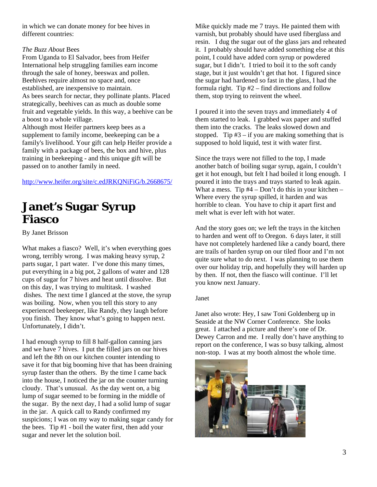in which we can donate money for bee hives in different countries:

#### *The Buzz About* Bees

From Uganda to El Salvador, bees from Heifer International help struggling families earn income through the sale of honey, beeswax and pollen. Beehives require almost no space and, once established, are inexpensive to maintain. As bees search for nectar, they pollinate plants. Placed strategically, beehives can as much as double some fruit and vegetable yields. In this way, a beehive can be a boost to a whole village. Although most Heifer partners keep bees as a

supplement to family income, beekeeping can be a family's livelihood. Your gift can help Heifer provide a family with a package of bees, the box and hive, plus training in beekeeping - and this unique gift will be passed on to another family in need.

http://www.heifer.org/site/c.edJRKQNiFiG/b.2668675/

### **Janet's Sugar Syrup Fiasco**

By Janet Brisson

What makes a fiasco? Well, it's when everything goes wrong, terribly wrong. I was making heavy syrup, 2 parts sugar, 1 part water. I've done this many times, put everything in a big pot, 2 gallons of water and 128 cups of sugar for 7 hives and heat until dissolve. But on this day, I was trying to multitask. I washed dishes. The next time I glanced at the stove, the syrup was boiling. Now, when you tell this story to any experienced beekeeper, like Randy, they laugh before you finish. They know what's going to happen next. Unfortunately, I didn't.

I had enough syrup to fill 8 half-gallon canning jars and we have 7 hives. I put the filled jars on our hives and left the 8th on our kitchen counter intending to save it for that big booming hive that has been draining syrup faster than the others. By the time I came back into the house, I noticed the jar on the counter turning cloudy. That's unusual. As the day went on, a big lump of sugar seemed to be forming in the middle of the sugar. By the next day, I had a solid lump of sugar in the jar. A quick call to Randy confirmed my suspicions; I was on my way to making sugar candy for the bees. Tip #1 - boil the water first, then add your sugar and never let the solution boil.

Mike quickly made me 7 trays. He painted them with varnish, but probably should have used fiberglass and resin. I dug the sugar out of the glass jars and reheated it. I probably should have added something else at this point, I could have added corn syrup or powdered sugar, but I didn't. I tried to boil it to the soft candy stage, but it just wouldn't get that hot. I figured since the sugar had hardened so fast in the glass, I had the formula right. Tip #2 – find directions and follow them, stop trying to reinvent the wheel.

I poured it into the seven trays and immediately 4 of them started to leak. I grabbed wax paper and stuffed them into the cracks. The leaks slowed down and stopped. Tip  $#3 - if$  you are making something that is supposed to hold liquid, test it with water first.

Since the trays were not filled to the top, I made another batch of boiling sugar syrup, again, I couldn't get it hot enough, but felt I had boiled it long enough. I poured it into the trays and trays started to leak again. What a mess. Tip  $#4 - Don't$  do this in your kitchen – Where every the syrup spilled, it harden and was horrible to clean. You have to chip it apart first and melt what is ever left with hot water.

And the story goes on; we left the trays in the kitchen to harden and went off to Oregon. 6 days later, it still have not completely hardened like a candy board, there are trails of harden syrup on our tiled floor and I'm not quite sure what to do next. I was planning to use them over our holiday trip, and hopefully they will harden up by then. If not, then the fiasco will continue. I'll let you know next January.

#### Janet

Janet also wrote: Hey, I saw Toni Goldenberg up in Seaside at the NW Corner Conference. She looks great. I attached a picture and there's one of Dr. Dewey Carron and me. I really don't have anything to report on the conference, I was so busy talking, almost non-stop. I was at my booth almost the whole time.